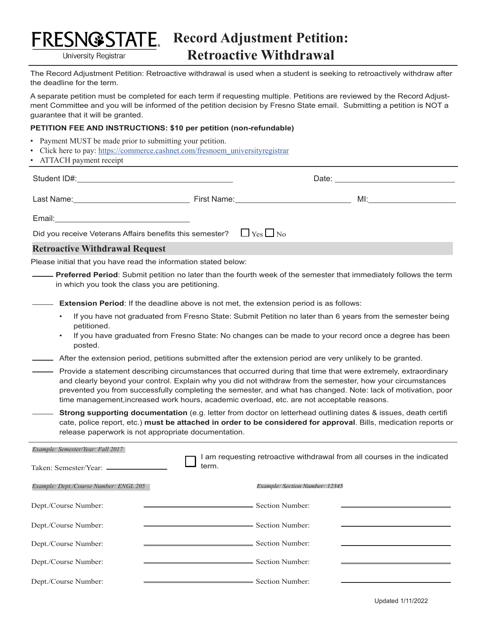

**University Registrar** 

The Record Adjustment Petition: Retroactive withdrawal is used when a student is seeking to retroactively withdraw after the deadline for the term.

A separate petition must be completed for each term if requesting multiple. Petitions are reviewed by the Record Adjustment Committee and you will be informed of the petition decision by Fresno State email. Submitting a petition is NOT a guarantee that it will be granted.

## **PETITION FEE AND INSTRUCTIONS: \$10 per petition (non-refundable)**

- Payment MUST be made prior to submitting your petition.
- Click here to pay: https://commerce.cashnet.com/fresnoem\_universityregistrar
- ATTACH payment receipt

|                                                                                                                                                         |                                                                                                                                                                                                                               | Date: __________________________________ |  |  |  |
|---------------------------------------------------------------------------------------------------------------------------------------------------------|-------------------------------------------------------------------------------------------------------------------------------------------------------------------------------------------------------------------------------|------------------------------------------|--|--|--|
| Last Name: <u>________________________________</u>                                                                                                      | First Name: Name: Name and Security and Security and Security and Security and Security and Security and Security and Security and Security and Security and Security and Security and Security and Security and Security and |                                          |  |  |  |
|                                                                                                                                                         |                                                                                                                                                                                                                               |                                          |  |  |  |
| Did you receive Veterans Affairs benefits this semester? $\Box$ Yes $\Box$ No                                                                           |                                                                                                                                                                                                                               |                                          |  |  |  |
| <b>Retroactive Withdrawal Request</b><br>a sa mga bagayan ng mga bagayan ng mga bagayan ng mga bagayan ng mga bagayan ng mga bagayang ng mga bagayang n |                                                                                                                                                                                                                               |                                          |  |  |  |

Please initial that you have read the information stated below:

- **Preferred Period**: Submit petition no later than the fourth week of the semester that immediately follows the term in which you took the class you are petitioning.
- **Extension Period**: If the deadline above is not met, the extension period is as follows:
	- If you have not graduated from Fresno State: Submit Petition no later than 6 years from the semester being petitioned.
	- If you have graduated from Fresno State: No changes can be made to your record once a degree has been posted.
- $-$  After the extension period, petitions submitted after the extension period are very unlikely to be granted.
- Provide a statement describing circumstances that occurred during that time that were extremely, extraordinary and clearly beyond your control. Explain why you did not withdraw from the semester, how your circumstances prevented you from successfully completing the semester, and what has changed. Note: lack of motivation, poor time management,increased work hours, academic overload, etc. are not acceptable reasons.
	- **Strong supporting documentation** (e.g. letter from doctor on letterhead outlining dates & issues, death certifi cate, police report, etc.) **must be attached in order to be considered for approval**. Bills, medication reports or release paperwork is not appropriate documentation.

| Example: Semester/Year: Fall 2017      | am requesting retroactive withdrawal from all courses in the indicated |  |  |
|----------------------------------------|------------------------------------------------------------------------|--|--|
| Taken: Semester/Year: _____            | term.                                                                  |  |  |
| Example: Dept./Course Number: ENGL 205 | Example: Section Number: 12345                                         |  |  |
| Dept./Course Number:                   | - Section Number:                                                      |  |  |
| Dept./Course Number:                   | Section Number:                                                        |  |  |
| Dept./Course Number:                   | Section Number:                                                        |  |  |
| Dept./Course Number:                   | Section Number:                                                        |  |  |
| Dept./Course Number:                   | Section Number:                                                        |  |  |

Updated 1/11/2022